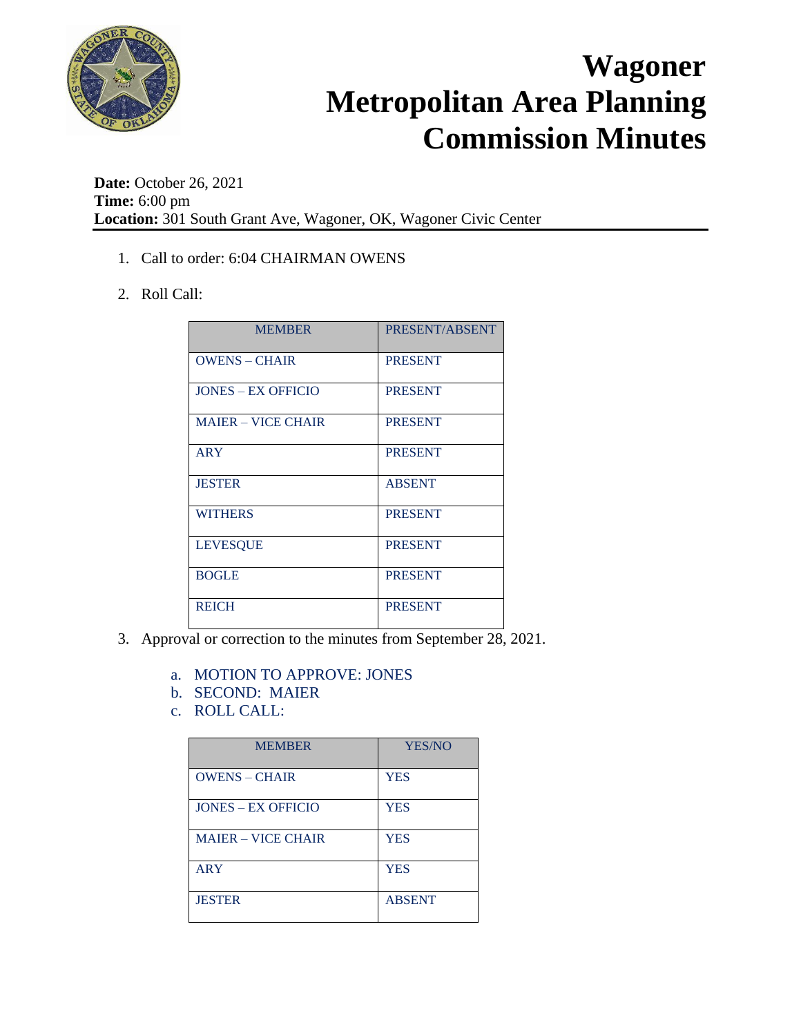

**Date:** October 26, 2021 **Time:** 6:00 pm **Location:** 301 South Grant Ave, Wagoner, OK, Wagoner Civic Center

- 1. Call to order: 6:04 CHAIRMAN OWENS
- 2. Roll Call:

| <b>MEMBER</b>             | PRESENT/ABSENT |
|---------------------------|----------------|
| <b>OWENS - CHAIR</b>      | <b>PRESENT</b> |
| <b>JONES – EX OFFICIO</b> | <b>PRESENT</b> |
| <b>MAJER – VICE CHAIR</b> | <b>PRESENT</b> |
| <b>ARY</b>                | <b>PRESENT</b> |
| <b>JESTER</b>             | <b>ABSENT</b>  |
| <b>WITHERS</b>            | <b>PRESENT</b> |
| <b>LEVESQUE</b>           | <b>PRESENT</b> |
| <b>BOGLE</b>              | <b>PRESENT</b> |
| <b>REICH</b>              | <b>PRESENT</b> |

- 3. Approval or correction to the minutes from September 28, 2021.
	- a. MOTION TO APPROVE: JONES
	- b. SECOND: MAIER
	- c. ROLL CALL:

| <b>MEMBER</b>             | YES/NO        |
|---------------------------|---------------|
| <b>OWENS - CHAIR</b>      | <b>YES</b>    |
| <b>JONES – EX OFFICIO</b> | <b>YES</b>    |
| <b>MAJER – VICE CHAIR</b> | <b>YES</b>    |
| <b>ARY</b>                | <b>YES</b>    |
| <b>JESTER</b>             | <b>ABSENT</b> |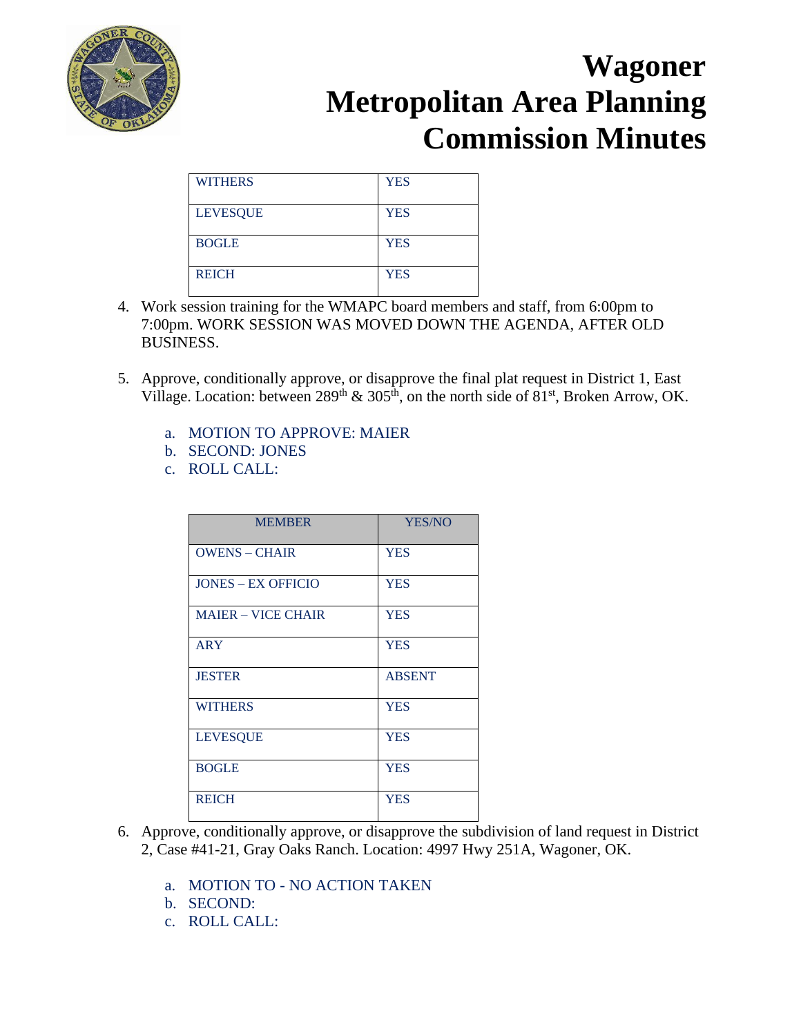

| <b>WITHERS</b>  | <b>YES</b> |
|-----------------|------------|
| <b>LEVESQUE</b> | <b>YES</b> |
| <b>BOGLE</b>    | <b>YES</b> |
| <b>REICH</b>    | <b>YES</b> |

- 4. Work session training for the WMAPC board members and staff, from 6:00pm to 7:00pm. WORK SESSION WAS MOVED DOWN THE AGENDA, AFTER OLD BUSINESS.
- 5. Approve, conditionally approve, or disapprove the final plat request in District 1, East Village. Location: between  $289<sup>th</sup>$  &  $305<sup>th</sup>$ , on the north side of  $81<sup>st</sup>$ , Broken Arrow, OK.
	- a. MOTION TO APPROVE: MAIER
	- b. SECOND: JONES
	- c. ROLL CALL:

| <b>MEMBER</b>             | YES/NO        |
|---------------------------|---------------|
| <b>OWENS – CHAIR</b>      | <b>YES</b>    |
| <b>JONES - EX OFFICIO</b> | <b>YES</b>    |
| <b>MAJER – VICE CHAIR</b> | <b>YES</b>    |
| <b>ARY</b>                | <b>YES</b>    |
| <b>JESTER</b>             | <b>ABSENT</b> |
| <b>WITHERS</b>            | <b>YES</b>    |
| <b>LEVESQUE</b>           | <b>YES</b>    |
| <b>BOGLE</b>              | <b>YES</b>    |
| <b>REICH</b>              | <b>YES</b>    |

- 6. Approve, conditionally approve, or disapprove the subdivision of land request in District 2, Case #41-21, Gray Oaks Ranch. Location: 4997 Hwy 251A, Wagoner, OK.
	- a. MOTION TO NO ACTION TAKEN
	- b. SECOND:
	- c. ROLL CALL: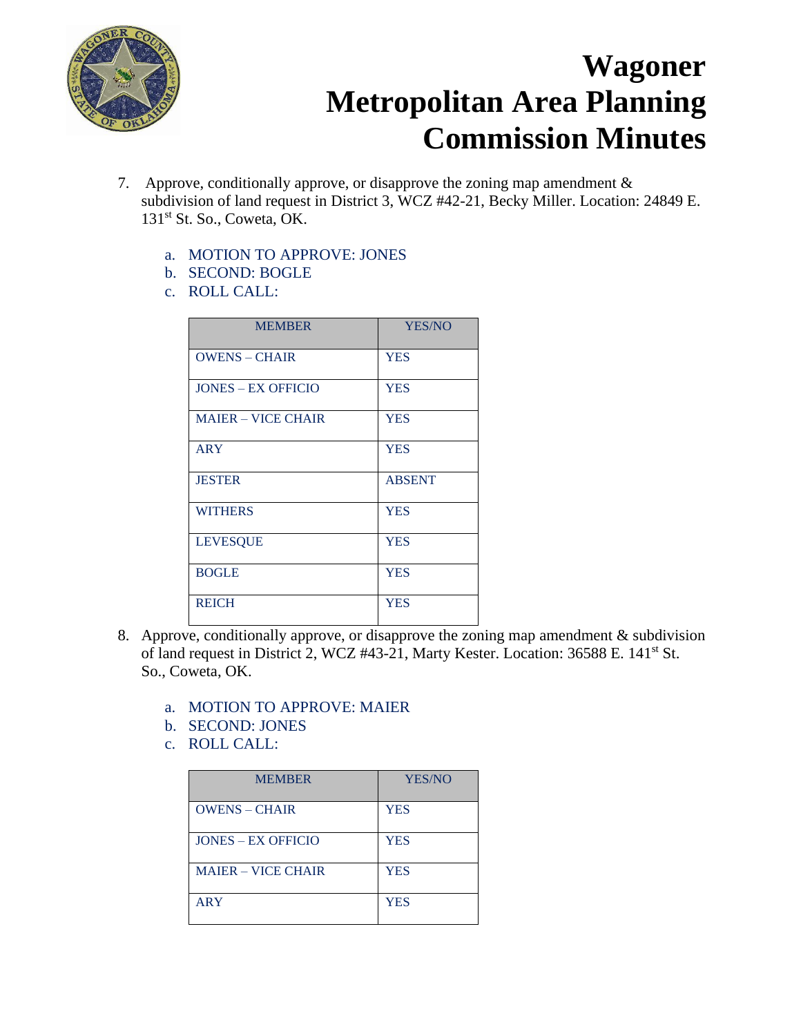

- 7. Approve, conditionally approve, or disapprove the zoning map amendment  $\&$ subdivision of land request in District 3, WCZ #42-21, Becky Miller. Location: 24849 E. 131<sup>st</sup> St. So., Coweta, OK.
	- a. MOTION TO APPROVE: JONES
	- b. SECOND: BOGLE
	- c. ROLL CALL:

| <b>MEMBER</b>             | YES/NO        |
|---------------------------|---------------|
| <b>OWENS - CHAIR</b>      | <b>YES</b>    |
| <b>JONES – EX OFFICIO</b> | <b>YES</b>    |
| <b>MAIER - VICE CHAIR</b> | <b>YES</b>    |
| <b>ARY</b>                | <b>YES</b>    |
| <b>JESTER</b>             | <b>ABSENT</b> |
| <b>WITHERS</b>            | <b>YES</b>    |
| <b>LEVESQUE</b>           | <b>YES</b>    |
| <b>BOGLE</b>              | <b>YES</b>    |
| <b>REICH</b>              | <b>YES</b>    |

- 8. Approve, conditionally approve, or disapprove the zoning map amendment & subdivision of land request in District 2, WCZ #43-21, Marty Kester. Location: 36588 E. 141st St. So., Coweta, OK.
	- a. MOTION TO APPROVE: MAIER
	- b. SECOND: JONES
	- c. ROLL CALL:

| <b>MEMBER</b>             | <b>YES/NO</b> |
|---------------------------|---------------|
| <b>OWENS - CHAIR</b>      | <b>YES</b>    |
| <b>JONES – EX OFFICIO</b> | <b>YES</b>    |
| <b>MAJER – VICE CHAIR</b> | <b>YES</b>    |
| <b>ARY</b>                | <b>YES</b>    |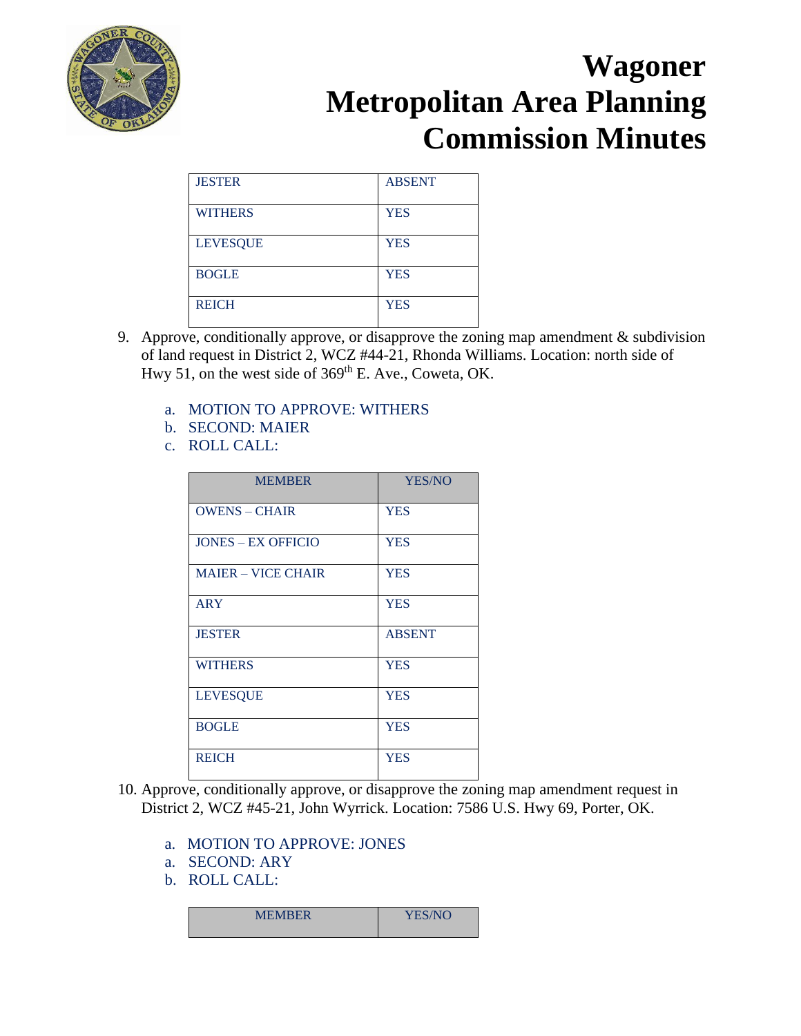

| <b>JESTER</b>   | <b>ABSENT</b> |
|-----------------|---------------|
| <b>WITHERS</b>  | <b>YES</b>    |
| <b>LEVESQUE</b> | <b>YES</b>    |
| <b>BOGLE</b>    | <b>YES</b>    |
| <b>REICH</b>    | <b>YES</b>    |

- 9. Approve, conditionally approve, or disapprove the zoning map amendment & subdivision of land request in District 2, WCZ #44-21, Rhonda Williams. Location: north side of Hwy 51, on the west side of  $369<sup>th</sup>$  E. Ave., Coweta, OK.
	- a. MOTION TO APPROVE: WITHERS
	- b. SECOND: MAIER
	- c. ROLL CALL:

| <b>MEMBER</b>             | YES/NO        |
|---------------------------|---------------|
| <b>OWENS - CHAIR</b>      | <b>YES</b>    |
| <b>JONES – EX OFFICIO</b> | <b>YES</b>    |
| <b>MAIER - VICE CHAIR</b> | <b>YES</b>    |
| <b>ARY</b>                | <b>YES</b>    |
| <b>JESTER</b>             | <b>ABSENT</b> |
| <b>WITHERS</b>            | <b>YES</b>    |
| <b>LEVESQUE</b>           | <b>YES</b>    |
| <b>BOGLE</b>              | <b>YES</b>    |
| <b>REICH</b>              | <b>YES</b>    |

- 10. Approve, conditionally approve, or disapprove the zoning map amendment request in District 2, WCZ #45-21, John Wyrrick. Location: 7586 U.S. Hwy 69, Porter, OK.
	- a. MOTION TO APPROVE: JONES
	- a. SECOND: ARY
	- b. ROLL CALL:

| <b>MEMBER</b> | <b>YES/NC</b> |
|---------------|---------------|
|               |               |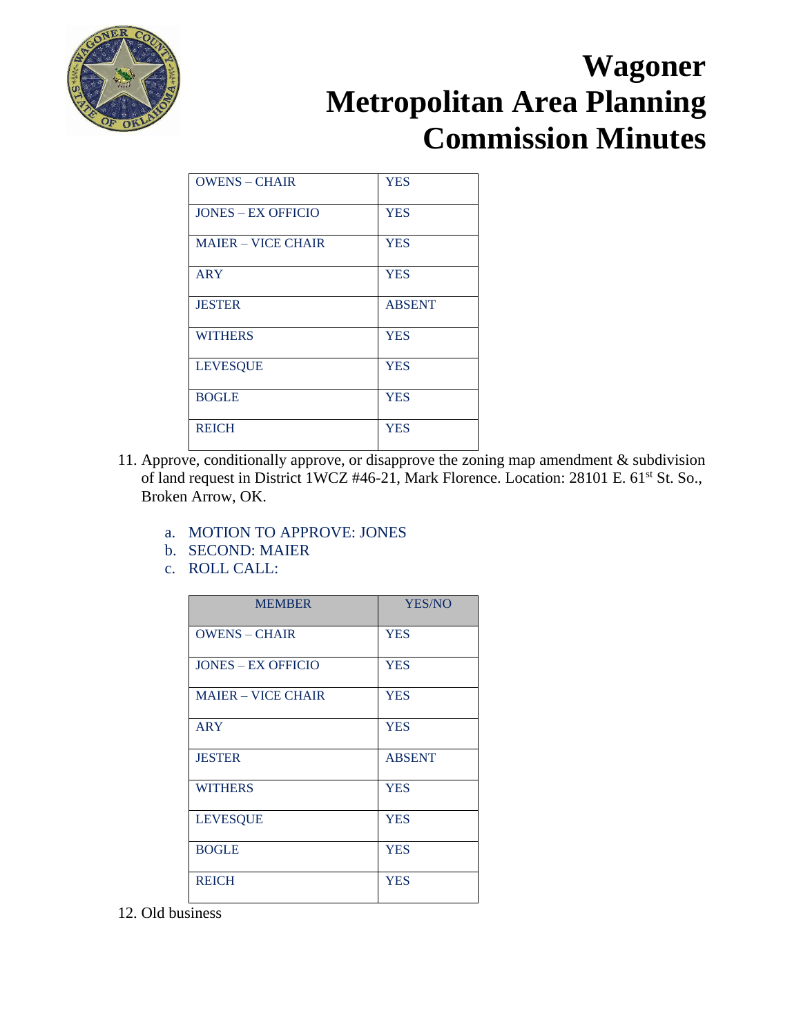

| <b>OWENS - CHAIR</b>      | <b>YES</b>    |
|---------------------------|---------------|
| <b>JONES – EX OFFICIO</b> | <b>YES</b>    |
| <b>MAJER – VICE CHAIR</b> | <b>YES</b>    |
| <b>ARY</b>                | <b>YES</b>    |
| <b>JESTER</b>             | <b>ABSENT</b> |
| <b>WITHERS</b>            | <b>YES</b>    |
| <b>LEVESQUE</b>           | <b>YES</b>    |
| <b>BOGLE</b>              | <b>YES</b>    |
| <b>REICH</b>              | <b>YES</b>    |

- 11. Approve, conditionally approve, or disapprove the zoning map amendment & subdivision of land request in District 1WCZ #46-21, Mark Florence. Location: 28101 E. 61<sup>st</sup> St. So., Broken Arrow, OK.
	- a. MOTION TO APPROVE: JONES
	- b. SECOND: MAIER
	- c. ROLL CALL:

| <b>MEMBER</b>             | YES/NO        |
|---------------------------|---------------|
| <b>OWENS - CHAIR</b>      | <b>YES</b>    |
| <b>JONES – EX OFFICIO</b> | <b>YES</b>    |
| <b>MAJER – VICE CHAIR</b> | <b>YES</b>    |
| <b>ARY</b>                | <b>YES</b>    |
| <b>JESTER</b>             | <b>ABSENT</b> |
| <b>WITHERS</b>            | <b>YES</b>    |
| <b>LEVESQUE</b>           | <b>YES</b>    |
| <b>BOGLE</b>              | <b>YES</b>    |
| <b>REICH</b>              | <b>YES</b>    |

12. Old business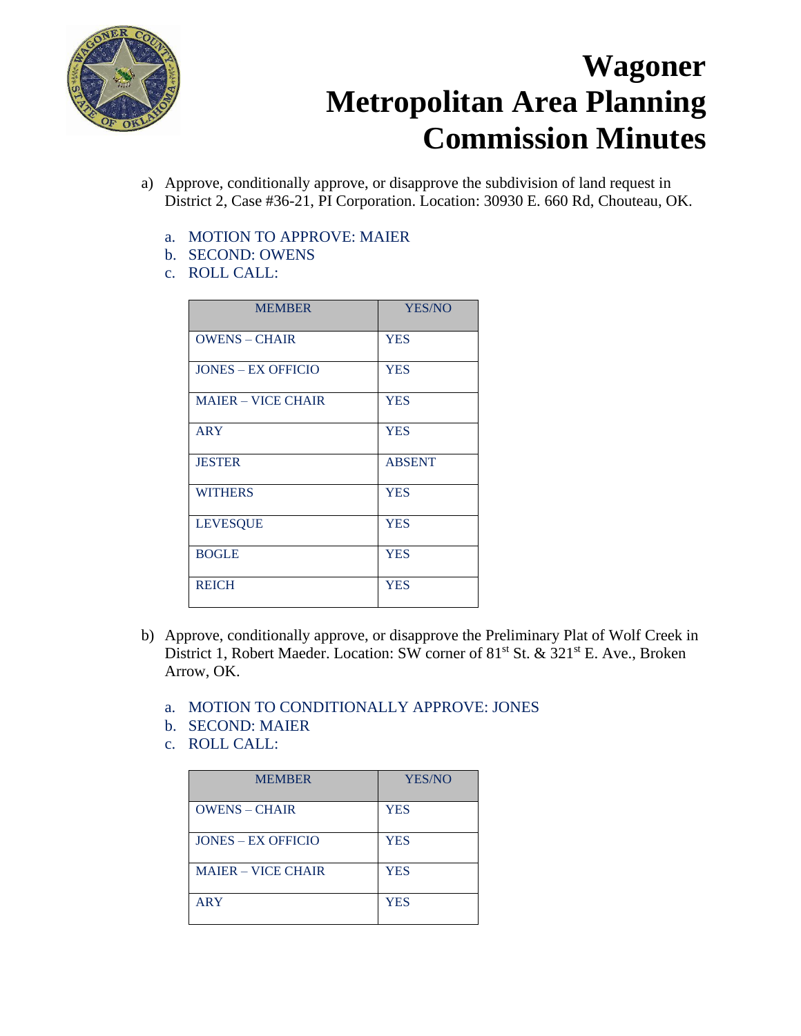

- a) Approve, conditionally approve, or disapprove the subdivision of land request in District 2, Case #36-21, PI Corporation. Location: 30930 E. 660 Rd, Chouteau, OK.
	- a. MOTION TO APPROVE: MAIER
	- b. SECOND: OWENS
	- c. ROLL CALL:

| <b>MEMBER</b>             | YES/NO        |
|---------------------------|---------------|
| <b>OWENS - CHAIR</b>      | <b>YES</b>    |
| <b>JONES - EX OFFICIO</b> | <b>YES</b>    |
| <b>MAIER - VICE CHAIR</b> | <b>YES</b>    |
| <b>ARY</b>                | <b>YES</b>    |
| <b>JESTER</b>             | <b>ABSENT</b> |
| <b>WITHERS</b>            | <b>YES</b>    |
| <b>LEVESQUE</b>           | <b>YES</b>    |
| <b>BOGLE</b>              | <b>YES</b>    |
| <b>REICH</b>              | <b>YES</b>    |

- b) Approve, conditionally approve, or disapprove the Preliminary Plat of Wolf Creek in District 1, Robert Maeder. Location: SW corner of 81<sup>st</sup> St. & 321<sup>st</sup> E. Ave., Broken Arrow, OK.
	- a. MOTION TO CONDITIONALLY APPROVE: JONES
	- b. SECOND: MAIER
	- c. ROLL CALL:

| <b>MEMBER</b>             | YES/NO     |
|---------------------------|------------|
| <b>OWENS - CHAIR</b>      | <b>YES</b> |
| <b>JONES – EX OFFICIO</b> | <b>YES</b> |
| <b>MAJER – VICE CHAIR</b> | <b>YES</b> |
| <b>ARY</b>                | <b>YES</b> |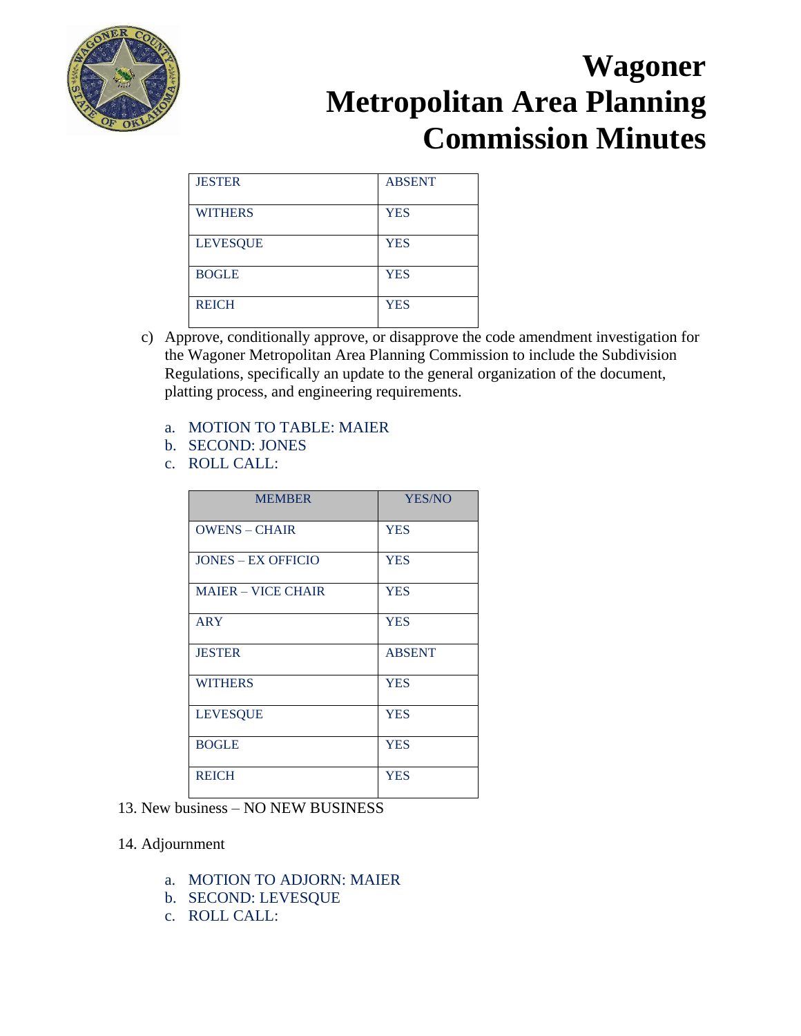

| <b>JESTER</b>   | <b>ABSENT</b> |
|-----------------|---------------|
| <b>WITHERS</b>  | <b>YES</b>    |
| <b>LEVESQUE</b> | <b>YES</b>    |
| <b>BOGLE</b>    | <b>YES</b>    |
| <b>REICH</b>    | <b>YES</b>    |

- c) Approve, conditionally approve, or disapprove the code amendment investigation for the Wagoner Metropolitan Area Planning Commission to include the Subdivision Regulations, specifically an update to the general organization of the document, platting process, and engineering requirements.
	- a. MOTION TO TABLE: MAIER
	- b. SECOND: JONES
	- c. ROLL CALL:

| <b>MEMBER</b>             | <b>YES/NO</b> |
|---------------------------|---------------|
| <b>OWENS - CHAIR</b>      | <b>YES</b>    |
| <b>JONES – EX OFFICIO</b> | <b>YES</b>    |
| <b>MAIER - VICE CHAIR</b> | <b>YES</b>    |
| <b>ARY</b>                | <b>YES</b>    |
| <b>JESTER</b>             | <b>ABSENT</b> |
| <b>WITHERS</b>            | <b>YES</b>    |
| <b>LEVESQUE</b>           | <b>YES</b>    |
| <b>BOGLE</b>              | <b>YES</b>    |
| <b>REICH</b>              | <b>YES</b>    |

13. New business – NO NEW BUSINESS

#### 14. Adjournment

- a. MOTION TO ADJORN: MAIER
- b. SECOND: LEVESQUE
- c. ROLL CALL: